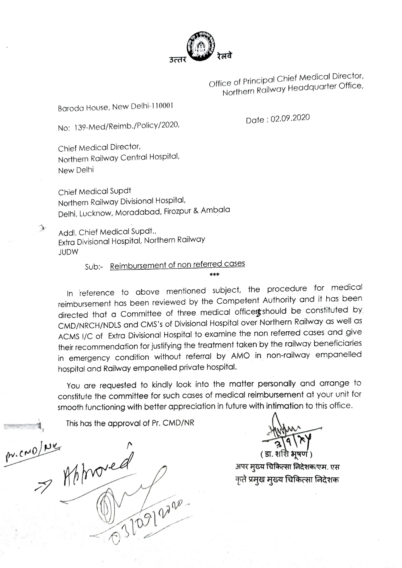

Office of Principal Chief Medical Director, Northern Railway Headquarter Office,

Baroda House, New Delhi-110001

Date : 02.09.2020

No: 139-Med/Reimb./Policy/2020,

Chief Medical Director, Northem Railway Central Hospital, New Delhi

ኍ

Chief Medical Supdt Northern Railway Divisional Hospital Delhi, Lucknow, Moradabad, Firozpur & Ambala

Addl. Chief Medical Supdt. Extra Divisional Hospital, Northern Railway JUDW

## Sub:- Reimbursement of non referred cases

In reference to above mentioned subject, the procedure for medical reimbursement has been reviewed by the Competent Authority and it has been directed that a Committee of three medical officerg should be constituted by CMD/NRCH/NDLS and CMS's of Divisional Hospital over Norithern Railway as well as ACMS 1/C of Extra Divisional Hospital to examine the non referred cases and give their recommendation for justifying the treatment taken by the railway beneficiaries in emergency condition without referral by AMO in non-railway empanelled hospital and Railway empanelled private hospital.

You are requested to kindly look into the matter personally and arrange to constitute the committee for such cases of medical reimbursement at your unit for smooth functioning with better appreciation in future with intimation to this office.

This hos the approval of Pr. CMD/NR

 $CMO$ oper whoved 1/05/2220

( डा. शशि भषणं )

अपर मुख्य चिकित्सा निदेशक/एम. एस कृते प्रमुख मुख्य चिकित्सा निदेशक